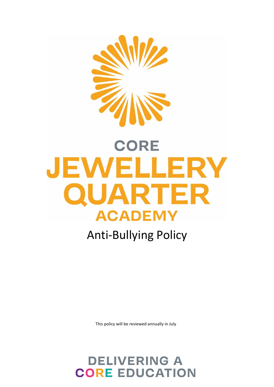

# **CORE** JEWELLERY QUARTER **ACADEMY**

# Anti-Bullying Policy

This policy will be reviewed annually in July

# **DELIVERING A CORE EDUCATION**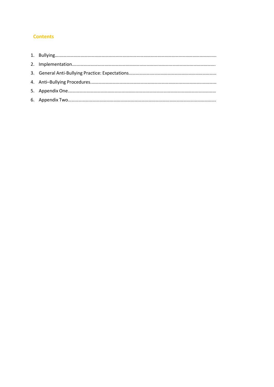# **Contents**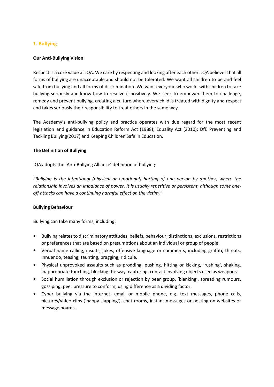# **1. Bullying**

# **Our Anti-Bullying Vision**

Respect is a core value at JQA. We care by respecting and looking after each other. JQA believesthat all forms of bullying are unacceptable and should not be tolerated. We want all children to be and feel safe from bullying and all forms of discrimination. We want everyone who works with children to take bullying seriously and know how to resolve it positively. We seek to empower them to challenge, remedy and prevent bullying, creating a culture where every child is treated with dignity and respect and takes seriously their responsibility to treat others in the same way.

The Academy's anti-bullying policy and practice operates with due regard for the most recent legislation and guidance in Education Reform Act (1988); Equality Act (2010); DfE Preventing and Tackling Bullying(2017) and Keeping Children Safe in Education.

# **The Definition of Bullying**

JQA adopts the 'Anti-Bullying Alliance' definition of bullying:

*"Bullying is the intentional (physical or emotional) hurting of one person by another, where the relationship involves an imbalance of power. It is usually repetitive or persistent, although some oneoff attacks can have a continuing harmful effect on the victim."*

# **Bullying Behaviour**

Bullying can take many forms, including:

- Bullying relates to discriminatory attitudes, beliefs, behaviour, distinctions, exclusions, restrictions or preferences that are based on presumptions about an individual or group of people.
- **•** Verbal name calling, insults, jokes, offensive language or comments, including graffiti, threats, innuendo, teasing, taunting, bragging, ridicule.
- **•** Physical unprovoked assaults such as prodding, pushing, hitting or kicking, 'rushing', shaking, inappropriate touching, blocking the way, capturing, contact involving objects used as weapons.
- **•** Social humiliation through exclusion or rejection by peer group, 'blanking', spreading rumours, gossiping, peer pressure to conform, using difference as a dividing factor.
- **•** Cyber bullying via the internet, email or mobile phone, e.g. text messages, phone calls, pictures/video clips ('happy slapping'), chat rooms, instant messages or posting on websites or message boards.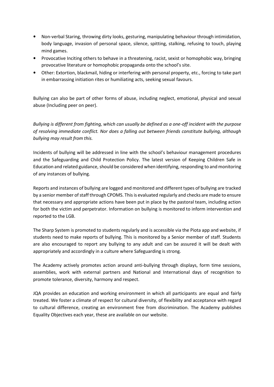- **•** Non-verbal Staring, throwing dirty looks, gesturing, manipulating behaviour through intimidation, body language, invasion of personal space, silence, spitting, stalking, refusing to touch, playing mind games.
- **•** Provocative Inciting others to behave in a threatening, racist, sexist or homophobic way, bringing provocative literature or homophobic propaganda onto the school's site.
- **•** Other: Extortion, blackmail, hiding or interfering with personal property, etc., forcing to take part in embarrassing initiation rites or humiliating acts, seeking sexual favours.

Bullying can also be part of other forms of abuse, including neglect, emotional, physical and sexual abuse (Including peer on peer).

*Bullying is different from fighting, which can usually be defined as a one-off incident with the purpose of resolving immediate conflict. Nor does a falling out between friends constitute bullying, although bullying may result from this.*

Incidents of bullying will be addressed in line with the school's behaviour management procedures and the Safeguarding and Child Protection Policy. The latest version of Keeping Children Safe in Education and related guidance, should be considered when identifying, responding to and monitoring of any instances of bullying.

Reports and instances of bullying are logged and monitored and different types of bullying are tracked by a senior member of staff through CPOMS. This is evaluated regularly and checks are made to ensure that necessary and appropriate actions have been put in place by the pastoral team, including action for both the victim and perpetrator. Information on bullying is monitored to inform intervention and reported to the LGB.

The Sharp System is promoted to students regularly and is accessible via the Piota app and website, if students need to make reports of bullying. This is monitored by a Senior member of staff. Students are also encouraged to report any bullying to any adult and can be assured it will be dealt with appropriately and accordingly in a culture where Safeguarding is strong.

The Academy actively promotes action around anti-bullying through displays, form time sessions, assemblies, work with external partners and National and International days of recognition to promote tolerance, diversity, harmony and respect.

JQA provides an education and working environment in which all participants are equal and fairly treated. We foster a climate of respect for cultural diversity, of flexibility and acceptance with regard to cultural difference, creating an environment free from discrimination. The Academy publishes Equality Objectives each year, these are available on our website.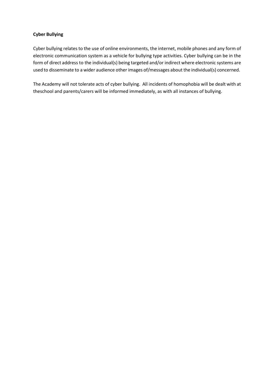# **Cyber Bullying**

Cyber bullying relates to the use of online environments, the internet, mobile phones and any form of electronic communication system as a vehicle for bullying type activities. Cyber bullying can be in the form of direct address to the individual(s) being targeted and/or indirect where electronic systems are used to disseminate to a wider audience other images of/messages about the individual(s) concerned.

The Academy will not tolerate acts of cyber bullying. All incidents of homophobia will be dealt with at theschool and parents/carers will be informed immediately, as with all instances of bullying.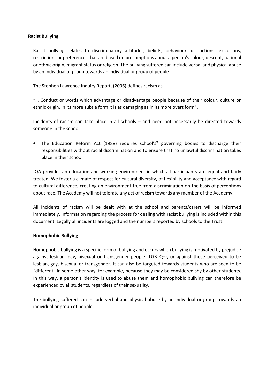# **Racist Bullying**

Racist bullying relates to discriminatory attitudes, beliefs, behaviour, distinctions, exclusions, restrictions or preferencesthat are based on presumptions about a person's colour, descent, national or ethnic origin, migrant status or religion. The bullying suffered can include verbal and physical abuse by an individual or group towards an individual or group of people

The Stephen Lawrence Inquiry Report, (2006) defines racism as

"… Conduct or words which advantage or disadvantage people because of their colour, culture or ethnic origin. In its more subtle form it is as damaging as in its more overt form".

Incidents of racism can take place in all schools – and need not necessarily be directed towards someone in the school.

• The Education Reform Act (1988) requires school's" governing bodies to discharge their responsibilities without racial discrimination and to ensure that no unlawful discrimination takes place in their school.

JQA provides an education and working environment in which all participants are equal and fairly treated. We foster a climate of respect for cultural diversity, of flexibility and acceptance with regard to cultural difference, creating an environment free from discrimination on the basis of perceptions about race. The Academy will not tolerate any act of racism towards any member of the Academy.

All incidents of racism will be dealt with at the school and parents/carers will be informed immediately. Information regarding the process for dealing with racist bullying is included within this document. Legally all incidents are logged and the numbers reported by schools to the Trust.

# **Homophobic Bullying**

Homophobic bullying is a specific form of bullying and occurs when bullying is motivated by prejudice against lesbian, gay, bisexual or transgender people (LGBTQ+), or against those perceived to be lesbian, gay, bisexual or transgender. It can also be targeted towards students who are seen to be "different" in some other way, for example, because they may be considered shy by other students. In this way, a person's identity is used to abuse them and homophobic bullying can therefore be experienced by all students, regardless of their sexuality.

The bullying suffered can include verbal and physical abuse by an individual or group towards an individual or group of people.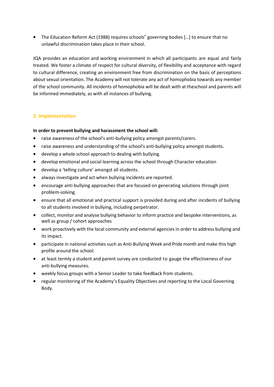• The Education Reform Act (1988) requires schools" governing bodies [...] to ensure that no unlawful discrimination takes place in their school.

JQA provides an education and working environment in which all participants are equal and fairly treated. We foster a climate of respect for cultural diversity, of flexibility and acceptance with regard to cultural difference, creating an environment free from discrimination on the basis of perceptions about sexual orientation. The Academy will not tolerate any act of homophobia towards any member of the school community. All incidents of homophobia will be dealt with at theschool and parents will be informed immediately, as with all instances of bullying.

# **2. Implementation**

# **In order to prevent bullying and harassment the school will:**

- raise awareness of the school's anti-bullying policy amongst parents/carers.
- raise awareness and understanding of the school's anti-bullying policy amongst students.
- develop a whole school approach to dealing with bullying.
- develop emotional and social learning across the school through Character education
- develop a 'telling culture' amongst all students.
- always investigate and act when bullying incidents are reported.
- encourage anti-bullying approaches that are focused on generating solutions through joint problem-solving.
- ensure that all emotional and practical support is provided during and after incidents of bullying to all students involved in bullying, including perpetrator.
- collect, monitor and analyse bullying behavior to inform practice and bespoke interventions, as well as group / cohort approaches
- work proactively with the local community and external agencies in order to address bullying and its impact.
- participate in national activities such as Anti-Bullying Week and Pride month and make this high profile around the school.
- at least termly a student and parent survey are conducted to gauge the effectiveness of our anti-bullying measures.
- weekly focus groups with a Senior Leader to take feedback from students.
- regular monitoring of the Academy's Equality Objectives and reporting to the Local Governing Body.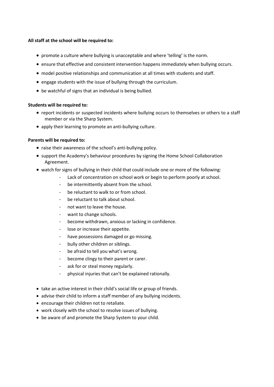# **All staff at the school will be required to:**

- promote a culture where bullying is unacceptable and where 'telling' is the norm.
- ensure that effective and consistent intervention happens immediately when bullying occurs.
- model positive relationships and communication at all times with students and staff.
- engage students with the issue of bullying through the curriculum.
- be watchful of signs that an individual is being bullied.

# **Students will be required to:**

- report incidents or suspected incidents where bullying occurs to themselves or others to a staff member or via the Sharp System.
- apply their learning to promote an anti-bullying culture.

# **Parents will be required to:**

- raise their awareness of the school's anti-bullying policy.
- support the Academy's behaviour procedures by signing the Home School Collaboration Agreement.
- watch for signs of bullying in their child that could include one or more of the following:
	- Lack of concentration on school work or begin to perform poorly at school.
	- be intermittently absent from the school.
	- be reluctant to walk to or from school.
	- be reluctant to talk about school.
	- not want to leave the house.
	- want to change schools.
	- become withdrawn, anxious or lacking in confidence.
	- lose or increase their appetite.
	- have possessions damaged or go missing.
	- bully other children or siblings.
	- be afraid to tell you what's wrong.
	- become clingy to their parent or carer.
	- ask for or steal money regularly.
	- physical injuries that can't be explained rationally.
- take an active interest in their child's social life or group of friends.
- advise their child to inform a staff member of any bullying incidents.
- encourage their children not to retaliate.
- work closely with the school to resolve issues of bullying.
- be aware of and promote the Sharp System to your child.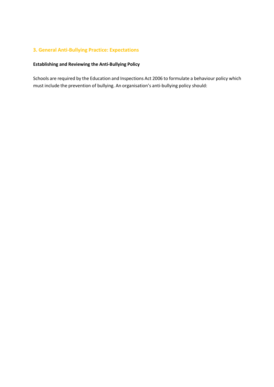# **3. General Anti-Bullying Practice: Expectations**

# **Establishing and Reviewing the Anti-Bullying Policy**

Schools are required by the Education and Inspections Act 2006 to formulate a behaviour policy which must include the prevention of bullying. An organisation's anti-bullying policy should: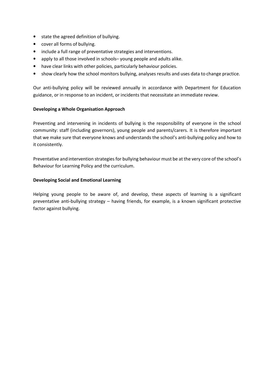- **•** state the agreed definition of bullying.
- **•** cover all forms of bullying.
- **•** include a full range of preventative strategies and interventions.
- **•** apply to all those involved in schools– young people and adults alike.
- **•** have clear links with other policies, particularly behaviour policies.
- **•** show clearly how the school monitors bullying, analyses results and uses data to change practice.

Our anti-bullying policy will be reviewed annually in accordance with Department for Education guidance, or in response to an incident, or incidents that necessitate an immediate review.

#### **Developing a Whole Organisation Approach**

Preventing and intervening in incidents of bullying is the responsibility of everyone in the school community: staff (including governors), young people and parents/carers. It is therefore important that we make sure that everyone knows and understands the school's anti-bullying policy and how to it consistently.

Preventative and intervention strategies for bullying behaviour must be at the very core of the school's Behaviour for Learning Policy and the curriculum.

#### **Developing Social and Emotional Learning**

Helping young people to be aware of, and develop, these aspects of learning is a significant preventative anti-bullying strategy – having friends, for example, is a known significant protective factor against bullying.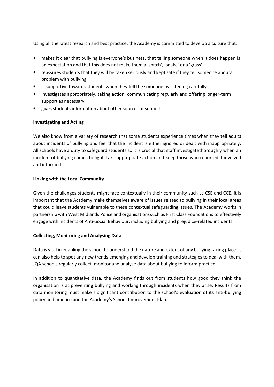Using all the latest research and best practice, the Academy is committed to develop a culture that:

- makes it clear that bullying is everyone's business, that telling someone when it does happen is an expectation and that this does not make them a 'snitch', 'snake' or a 'grass'.
- **•** reassures students that they will be taken seriously and kept safe if they tell someone abouta problem with bullying.
- **•** is supportive towards students when they tell the someone by listening carefully.
- **•** investigates appropriately, taking action, communicating regularly and offering longer-term support as necessary.
- **•** gives students information about other sources of support.

# **Investigating and Acting**

We also know from a variety of research that some students experience times when they tell adults about incidents of bullying and feel that the incident is either ignored or dealt with inappropriately. All schools have a duty to safeguard students so it is crucial that staff investigatethoroughly when an incident of bullying comes to light, take appropriate action and keep those who reported it involved and informed.

# **Linking with the Local Community**

Given the challenges students might face contextually in their community such as CSE and CCE, it is important that the Academy make themselves aware of issues related to bullying in their local areas that could leave students vulnerable to these contextual safeguarding issues. The Academy works in partnership with West Midlands Police and organisations such as First Class Foundations to effectively engage with incidents of Anti-Social Behaviour, including bullying and prejudice-related incidents.

# **Collecting, Monitoring and Analysing Data**

Data is vital in enabling the school to understand the nature and extent of any bullying taking place. It can also help to spot any new trends emerging and develop training and strategies to deal with them. JQA schools regularly collect, monitor and analyse data about bullying to inform practice.

In addition to quantitative data, the Academy finds out from students how good they think the organisation is at preventing bullying and working through incidents when they arise. Results from data monitoring must make a significant contribution to the school's evaluation of its anti-bullying policy and practice and the Academy's School Improvement Plan.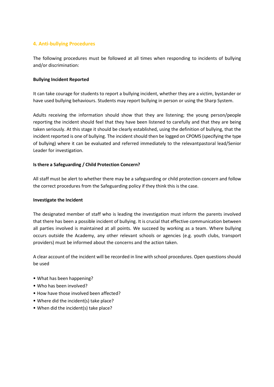# **4. Anti-bullying Procedures**

The following procedures must be followed at all times when responding to incidents of bullying and/or discrimination:

# **Bullying Incident Reported**

It can take courage for students to report a bullying incident, whether they are a victim, bystander or have used bullying behaviours. Students may report bullying in person or using the Sharp System.

Adults receiving the information should show that they are listening; the young person/people reporting the incident should feel that they have been listened to carefully and that they are being taken seriously. At this stage it should be clearly established, using the definition of bullying, that the incident reported is one of bullying. The incident should then be logged on CPOMS (specifying the type of bullying) where it can be evaluated and referred immediately to the relevantpastoral lead/Senior Leader for investigation.

# **Isthere a Safeguarding / Child Protection Concern?**

All staff must be alert to whether there may be a safeguarding or child protection concern and follow the correct procedures from the Safeguarding policy if they think this is the case.

# **Investigate the Incident**

The designated member of staff who is leading the investigation must inform the parents involved that there has been a possible incident of bullying. It is crucial that effective communication between all parties involved is maintained at all points. We succeed by working as a team. Where bullying occurs outside the Academy, any other relevant schools or agencies (e.g. youth clubs, transport providers) must be informed about the concerns and the action taken.

A clear account of the incident will be recorded in line with school procedures. Open questions should be used

- What has been happening?
- Who has been involved?
- How have those involved been affected?
- Where did the incident(s) take place?
- When did the incident(s) take place?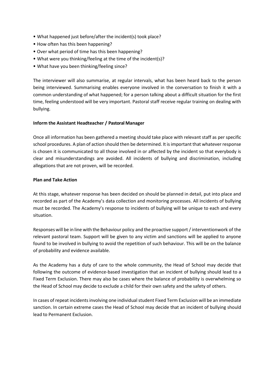- What happened just before/after the incident(s) took place?
- How often has this been happening?
- Over what period of time has this been happening?
- What were you thinking/feeling at the time of the incident(s)?
- What have you been thinking/feeling since?

The interviewer will also summarise, at regular intervals, what has been heard back to the person being interviewed. Summarising enables everyone involved in the conversation to finish it with a common understanding of what happened; for a person talking about a difficult situation for the first time, feeling understood will be very important. Pastoral staff receive regular training on dealing with bullying.

# **Inform the Assistant Headteacher / Pastoral Manager**

Once all information has been gathered a meeting should take place with relevant staff as per specific school procedures. A plan of action should then be determined. It isimportant that whatever response is chosen it is communicated to all those involved in or affected by the incident so that everybody is clear and misunderstandings are avoided. All incidents of bullying and discrimination, including allegations that are not proven, will be recorded.

# **Plan and Take Action**

At this stage, whatever response has been decided on should be planned in detail, put into place and recorded as part of the Academy's data collection and monitoring processes. All incidents of bullying must be recorded. The Academy's response to incidents of bullying will be unique to each and every situation.

Responses will be in line with the Behaviour policy and the proactive support / interventionwork of the relevant pastoral team. Support will be given to any victim and sanctions will be applied to anyone found to be involved in bullying to avoid the repetition of such behaviour. This will be on the balance of probability and evidence available.

As the Academy has a duty of care to the whole community, the Head of School may decide that following the outcome of evidence-based investigation that an incident of bullying should lead to a Fixed Term Exclusion. There may also be cases where the balance of probability is overwhelming so the Head of School may decide to exclude a child for their own safety and the safety of others.

In cases of repeat incidents involving one individual student Fixed Term Exclusion will be an immediate sanction. In certain extreme cases the Head of School may decide that an incident of bullying should lead to Permanent Exclusion.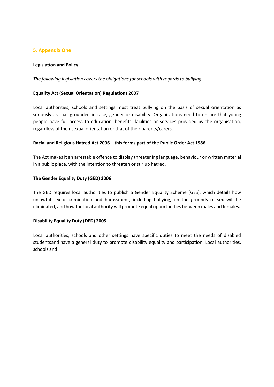# **5. Appendix One**

# **Legislation and Policy**

*The following legislation covers the obligations for schools with regards to bullying.*

# **Equality Act (Sexual Orientation) Regulations 2007**

Local authorities, schools and settings must treat bullying on the basis of sexual orientation as seriously as that grounded in race, gender or disability. Organisations need to ensure that young people have full access to education, benefits, facilities or services provided by the organisation, regardless of their sexual orientation or that of their parents/carers.

# **Racial and Religious Hatred Act 2006 – this forms part of the Public Order Act 1986**

The Act makes it an arrestable offence to display threatening language, behaviour or written material in a public place, with the intention to threaten or stir up hatred.

# **The Gender Equality Duty (GED) 2006**

The GED requires local authorities to publish a Gender Equality Scheme (GES), which details how unlawful sex discrimination and harassment, including bullying, on the grounds of sex will be eliminated, and how the local authority will promote equal opportunities between males and females.

# **Disability Equality Duty (DED) 2005**

Local authorities, schools and other settings have specific duties to meet the needs of disabled studentsand have a general duty to promote disability equality and participation. Local authorities, schools and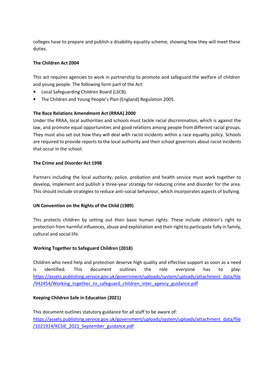colleges have to prepare and publish a disability equality scheme, showing how they will meet these duties.

# **The Children Act 2004**

This act requires agencies to work in partnership to promote and safeguard the welfare of children and young people. The following form part of the Act:

- **•** Local Safeguarding Children Board (LSCB).
- **•** The Children and Young People's Plan (England) Regulation 2005.

# **The Race Relations Amendment Act (RRAA) 2000**

Under the RRAA, local authorities and schools must tackle racial discrimination, which is against the law, and promote equal opportunities and good relations among people from different racial groups. They must also set out how they will deal with racist incidents within a race equality policy. Schools are required to provide reports to the local authority and their school governors about racist incidents that occur in the school.

# **The Crime and Disorder Act 1998**

Partners including the local authority, police, probation and health service must work together to develop, implement and publish a three-year strategy for reducing crime and disorder for the area. This should include strategies to reduce anti-social behaviour, which incorporates aspects of bullying.

# **UN Convention on the Rights of the Child (1989)**

This protects children by setting out their basic human rights. These include children's right to protection from harmful influences, abuse and exploitation and their right to participate fully in family, cultural and social life.

# **Working Together to Safeguard Children (2018)**

Children who need help and protection deserve high quality and effective support as soon as a need is identified. This document outlines the role everyone has to play: [https://assets.publishing.service.gov.uk/government/uploads/system/uploads/attachment\\_data/file](https://assets.publishing.service.gov.uk/government/uploads/system/uploads/attachment_data/file/942454/Working_together_to_safeguard_children_inter_agency_guidance.pdf) /942454/Working together to safeguard children inter agency guidance.pdf

# **Keeping Children Safe in Education (2021)**

This document outlines statutory guidance for all staff to be aware of: [https://assets.publishing.service.gov.uk/government/uploads/system/uploads/attachment\\_data/file](https://assets.publishing.service.gov.uk/government/uploads/system/uploads/attachment_data/file/1021914/KCSIE_2021_September_guidance.pdf) [/1021914/KCSIE\\_2021\\_September\\_guidance.pdf](https://assets.publishing.service.gov.uk/government/uploads/system/uploads/attachment_data/file/1021914/KCSIE_2021_September_guidance.pdf)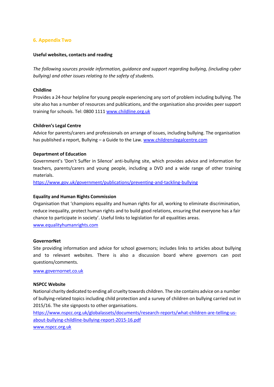# **6. Appendix Two**

#### **Useful websites, contacts and reading**

*The following sources provide information, guidance and support regarding bullying, (including cyber bullying) and other issues relating to the safety of students.*

#### **Childline**

Provides a 24-hour helpline for young people experiencing any sort of problem including bullying. The site also has a number of resources and publications, and the organisation also provides peer support training for schools. Tel: 0800 1111 [www.childline.org.uk](http://www.childline.org.uk/)

#### **Children's Legal Centre**

Advice for parents/carers and professionals on arrange of issues, including bullying. The organisation has published a report, Bullying – a Guide to the Law[. www.childrenslegalcentre.com](http://www.childrenslegalcentre.com/)

#### **Department of Education**

Government's 'Don't Suffer in Silence' anti-bullying site, which provides advice and information for teachers, parents/carers and young people, including a DVD and a wide range of other training materials.

https:/[/www.gov.uk/government/publications/preventing-and-tackling-bullying](http://www.gov.uk/government/publications/preventing-and-tackling-bullying)

# **Equality and Human Rights Commission**

Organisation that 'champions equality and human rights for all, working to eliminate discrimination, reduce inequality, protect human rights and to build good relations, ensuring that everyone has a fair chance to participate in society'. Useful links to legislation for all equalities areas. [www.equalityhumanrights.com](http://www.equalityhumanrights.com/)

#### **GovernorNet**

Site providing information and advice for school governors; includes links to articles about bullying and to relevant websites. There is also a discussion board where governors can post questions/comments.

[www.governornet.co.uk](http://www.governornet.co.uk/)

# **NSPCC Website**

National charity dedicated to ending all cruelty towards children. The site contains advice on a number of bullying-related topics including child protection and a survey of children on bullying carried out in 2015/16. The site signposts to other organisations.

https:/[/www.nspcc.org.uk/globalassets/documents/research-reports/what-children-are-telling-us](http://www.nspcc.org.uk/globalassets/documents/research-reports/what-children-are-telling-us-)about-bullying-childline-bullying-report-2015-16.pdf

[www.nspcc.org.uk](http://www.nspcc.org.uk/)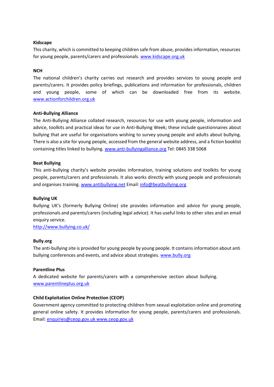# **Kidscape**

This charity, which is committed to keeping children safe from abuse, provides information, resources for young people, parents/carers and professionals. [www.kidscape.org.uk](http://www.kidscape.org.uk/)

#### **NCH**

The national children's charity carries out research and provides services to young people and parents/carers. It provides policy briefings, publications and information for professionals, children and young people, some of which can be downloaded free from its website. [www.actionforchildren.org.uk](http://www.actionforchildren.org.uk/)

#### **Anti-Bullying Alliance**

The Anti-Bullying Alliance collated research, resources for use with young people, information and advice, toolkits and practical ideas for use in Anti-Bullying Week; these include questionnaires about bullying that are useful for organisations wishing to survey young people and adults about bullying. There is also a site for young people, accessed from the general website address, and a fiction booklist containing titles linked to bullying. [www.anti-bullyingalliance.org](http://www.anti-bullyingalliance.org/) Tel: 0845 338 5068

#### **Beat Bullying**

This anti-bullying charity's website provides information, training solutions and toolkits for young people, parents/carers and professionals. It also works directly with young people and professionals and organises training. [www.antibullying.net](http://www.antibullying.net/) Email: [info@beatbullying.org](mailto:info@beatbullying.org)

#### **Bullying UK**

Bullying UK's (formerly Bullying Online) site provides information and advice for young people, professionals and parents/carers (including legal advice). It has useful links to other sites and an email enquiry service.

<http://www.bullying.co.uk/>

#### **Bully.org**

The anti-bullying site is provided for young people by young people. It containsinformation about anti bullying conferences and events, and advice about strategies. [www.bully.org](http://www.bully.org/)

#### **Parentline Plus**

A dedicated website for parents/carers with a comprehensive section about bullying. [www.parentlineplus.org.uk](http://www.parentlineplus.org.uk/)

# **Child Exploitation Online Protection (CEOP)**

Government agency committed to protecting children from sexual exploitation online and promoting general online safety. It provides information for young people, parents/carers and professionals. Email: [enquiries@ceop.gov.uk](mailto:enquiries@ceop.gov.ukwww.ceop.gov.uk) www.ceop.gov.uk